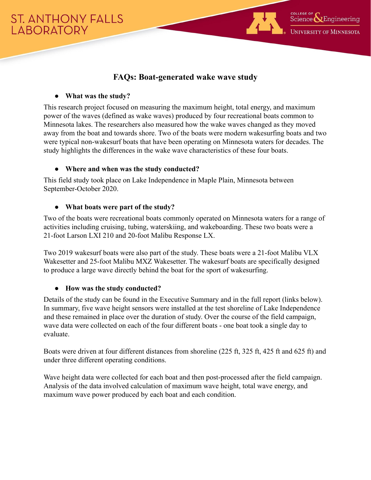

# **FAQs: Boat-generated wake wave study**

## **● What was the study?**

This research project focused on measuring the maximum height, total energy, and maximum power of the waves (defined as wake waves) produced by four recreational boats common to Minnesota lakes. The researchers also measured how the wake waves changed as they moved away from the boat and towards shore. Two of the boats were modern wakesurfing boats and two were typical non-wakesurf boats that have been operating on Minnesota waters for decades. The study highlights the differences in the wake wave characteristics of these four boats.

## **● Where and when was the study conducted?**

This field study took place on Lake Independence in Maple Plain, Minnesota between September-October 2020.

# **● What boats were part of the study?**

Two of the boats were recreational boats commonly operated on Minnesota waters for a range of activities including cruising, tubing, waterskiing, and wakeboarding. These two boats were a 21-foot Larson LXI 210 and 20-foot Malibu Response LX.

Two 2019 wakesurf boats were also part of the study. These boats were a 21-foot Malibu VLX Wakesetter and 25-foot Malibu MXZ Wakesetter. The wakesurf boats are specifically designed to produce a large wave directly behind the boat for the sport of wakesurfing.

# **● How was the study conducted?**

Details of the study can be found in the Executive Summary and in the full report (links below). In summary, five wave height sensors were installed at the test shoreline of Lake Independence and these remained in place over the duration of study. Over the course of the field campaign, wave data were collected on each of the four different boats - one boat took a single day to evaluate.

Boats were driven at four different distances from shoreline (225 ft, 325 ft, 425 ft and 625 ft) and under three different operating conditions.

Wave height data were collected for each boat and then post-processed after the field campaign. Analysis of the data involved calculation of maximum wave height, total wave energy, and maximum wave power produced by each boat and each condition.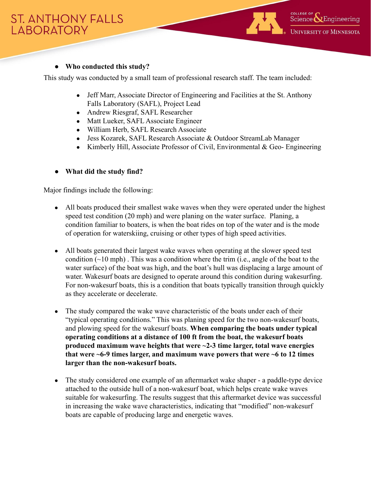# **● Who conducted this study?**

This study was conducted by a small team of professional research staff. The team included:

- Jeff Marr, Associate Director of Engineering and Facilities at the St. Anthony Falls Laboratory (SAFL), Project Lead
- Andrew Riesgraf, SAFL Researcher
- Matt Lueker, SAFL Associate Engineer
- William Herb, SAFL Research Associate
- Jess Kozarek, SAFL Research Associate & Outdoor StreamLab Manager
- Kimberly Hill, Associate Professor of Civil, Environmental  $\&$  Geo-Engineering

## **● What did the study find?**

Major findings include the following:

- All boats produced their smallest wake waves when they were operated under the highest speed test condition (20 mph) and were planing on the water surface. Planing, a condition familiar to boaters, is when the boat rides on top of the water and is the mode of operation for waterskiing, cruising or other types of high speed activities.
- All boats generated their largest wake waves when operating at the slower speed test condition  $(\sim 10 \text{ mph})$ . This was a condition where the trim (i.e., angle of the boat to the water surface) of the boat was high, and the boat's hull was displacing a large amount of water. Wakesurf boats are designed to operate around this condition during wakesurfing. For non-wakesurf boats, this is a condition that boats typically transition through quickly as they accelerate or decelerate.
- The study compared the wake wave characteristic of the boats under each of their "typical operating conditions." This was planing speed for the two non-wakesurf boats, and plowing speed for the wakesurf boats. **When comparing the boats under typical operating conditions at a distance of 100 ft from the boat, the wakesurf boats produced maximum wave heights that were ~2-3 time larger, total wave energies that were ~6-9 times larger, and maximum wave powers that were ~6 to 12 times larger than the non-wakesurf boats.**
- The study considered one example of an aftermarket wake shaper a paddle-type device attached to the outside hull of a non-wakesurf boat, which helps create wake waves suitable for wakesurfing. The results suggest that this aftermarket device was successful in increasing the wake wave characteristics, indicating that "modified" non-wakesurf boats are capable of producing large and energetic waves.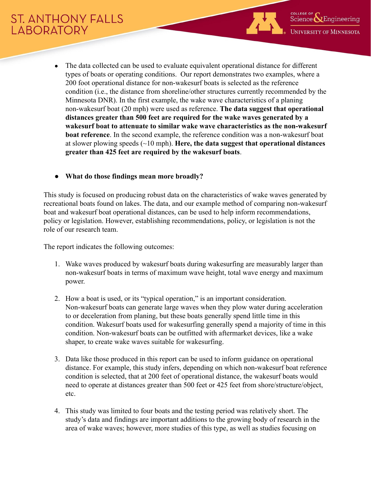

- The data collected can be used to evaluate equivalent operational distance for different types of boats or operating conditions. Our report demonstrates two examples, where a 200 foot operational distance for non-wakesurf boats is selected as the reference condition (i.e., the distance from shoreline/other structures currently recommended by the Minnesota DNR). In the first example, the wake wave characteristics of a planing non-wakesurf boat (20 mph) were used as reference. **The data suggest that operational distances greater than 500 feet are required for the wake waves generated by a wakesurf boat to attenuate to similar wake wave characteristics as the non-wakesurf boat reference**. In the second example, the reference condition was a non-wakesurf boat at slower plowing speeds (~10 mph). **Here, the data suggest that operational distances greater than 425 feet are required by the wakesurf boats**.
- **● What do those findings mean more broadly?**

This study is focused on producing robust data on the characteristics of wake waves generated by recreational boats found on lakes. The data, and our example method of comparing non-wakesurf boat and wakesurf boat operational distances, can be used to help inform recommendations, policy or legislation. However, establishing recommendations, policy, or legislation is not the role of our research team.

The report indicates the following outcomes:

- 1. Wake waves produced by wakesurf boats during wakesurfing are measurably larger than non-wakesurf boats in terms of maximum wave height, total wave energy and maximum power.
- 2. How a boat is used, or its "typical operation," is an important consideration. Non-wakesurf boats can generate large waves when they plow water during acceleration to or deceleration from planing, but these boats generally spend little time in this condition. Wakesurf boats used for wakesurfing generally spend a majority of time in this condition. Non-wakesurf boats can be outfitted with aftermarket devices, like a wake shaper, to create wake waves suitable for wakesurfing.
- 3. Data like those produced in this report can be used to inform guidance on operational distance. For example, this study infers, depending on which non-wakesurf boat reference condition is selected, that at 200 feet of operational distance, the wakesurf boats would need to operate at distances greater than 500 feet or 425 feet from shore/structure/object, etc.
- 4. This study was limited to four boats and the testing period was relatively short. The study's data and findings are important additions to the growing body of research in the area of wake waves; however, more studies of this type, as well as studies focusing on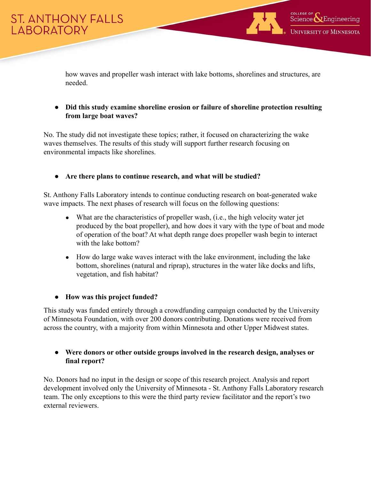

how waves and propeller wash interact with lake bottoms, shorelines and structures, are needed.

**● Did this study examine shoreline erosion or failure of shoreline protection resulting from large boat waves?**

No. The study did not investigate these topics; rather, it focused on characterizing the wake waves themselves. The results of this study will support further research focusing on environmental impacts like shorelines.

**● Are there plans to continue research, and what will be studied?**

St. Anthony Falls Laboratory intends to continue conducting research on boat-generated wake wave impacts. The next phases of research will focus on the following questions:

- What are the characteristics of propeller wash, (i.e., the high velocity water jet produced by the boat propeller), and how does it vary with the type of boat and mode of operation of the boat? At what depth range does propeller wash begin to interact with the lake bottom?
- How do large wake waves interact with the lake environment, including the lake bottom, shorelines (natural and riprap), structures in the water like docks and lifts, vegetation, and fish habitat?

### **● How was this project funded?**

This study was funded entirely through a crowdfunding campaign conducted by the University of Minnesota Foundation, with over 200 donors contributing. Donations were received from across the country, with a majority from within Minnesota and other Upper Midwest states.

### **● Were donors or other outside groups involved in the research design, analyses or final report?**

No. Donors had no input in the design or scope of this research project. Analysis and report development involved only the University of Minnesota - St. Anthony Falls Laboratory research team. The only exceptions to this were the third party review facilitator and the report's two external reviewers.